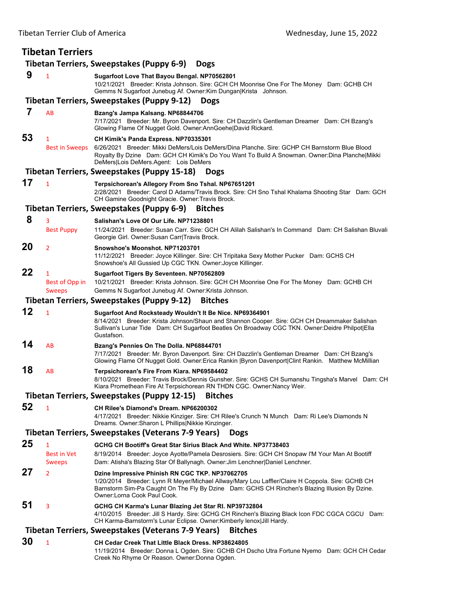| <b>Tibetan Terriers</b>                                                     |                                                 |                                                                                                                                                                                                                                                                                    |  |  |  |  |
|-----------------------------------------------------------------------------|-------------------------------------------------|------------------------------------------------------------------------------------------------------------------------------------------------------------------------------------------------------------------------------------------------------------------------------------|--|--|--|--|
| Tibetan Terriers, Sweepstakes (Puppy 6-9)<br><b>Dogs</b>                    |                                                 |                                                                                                                                                                                                                                                                                    |  |  |  |  |
| 9                                                                           | 1                                               | Sugarfoot Love That Bayou Bengal. NP70562801<br>10/21/2021 Breeder: Krista Johnson. Sire: GCH CH Moonrise One For The Money Dam: GCHB CH<br>Gemms N Sugarfoot Junebug Af. Owner: Kim Dungan Krista Johnson.                                                                        |  |  |  |  |
| Tibetan Terriers, Sweepstakes (Puppy 9-12)<br><b>Dogs</b>                   |                                                 |                                                                                                                                                                                                                                                                                    |  |  |  |  |
| 7                                                                           | <b>AB</b>                                       | Bzang's Jampa Kalsang. NP68844706<br>7/17/2021 Breeder: Mr. Byron Davenport. Sire: CH Dazzlin's Gentleman Dreamer Dam: CH Bzang's<br>Glowing Flame Of Nugget Gold. Owner: Ann Goehe   David Rickard.                                                                               |  |  |  |  |
| 53                                                                          | 1<br><b>Best in Sweeps</b>                      | CH Kimik's Panda Express. NP70335301<br>6/26/2021 Breeder: Mikki DeMers/Lois DeMers/Dina Planche. Sire: GCHP CH Barnstorm Blue Blood<br>Royalty By Dzine Dam: GCH CH Kimik's Do You Want To Build A Snowman. Owner:Dina Planche Mikki<br>DeMers Lois DeMers.Agent: Lois DeMers     |  |  |  |  |
| <b>Tibetan Terriers, Sweepstakes (Puppy 15-18)</b><br><b>Dogs</b>           |                                                 |                                                                                                                                                                                                                                                                                    |  |  |  |  |
| 17                                                                          | $\mathbf{1}$                                    | Terpsichorean's Allegory From Sno Tshal. NP67651201<br>2/28/2021 Breeder: Carol D Adams/Travis Brock. Sire: CH Sno Tshal Khalama Shooting Star Dam: GCH<br>CH Gamine Goodnight Gracie. Owner: Travis Brock.<br>Tibetan Terriers, Sweepstakes (Puppy 6-9)<br><b>Bitches</b>         |  |  |  |  |
| 8                                                                           | 3                                               | Salishan's Love Of Our Life, NP71238801                                                                                                                                                                                                                                            |  |  |  |  |
|                                                                             | <b>Best Puppy</b>                               | 11/24/2021 Breeder: Susan Carr. Sire: GCH CH Alilah Salishan's In Command Dam: CH Salishan Bluvali<br>Georgie Girl. Owner: Susan Carr Travis Brock.                                                                                                                                |  |  |  |  |
| 20                                                                          | 2                                               | Snowshoe's Moonshot, NP71203701<br>11/12/2021 Breeder: Joyce Killinger. Sire: CH Tripitaka Sexy Mother Pucker Dam: GCHS CH<br>Snowshoe's All Gussied Up CGC TKN. Owner: Joyce Killinger.                                                                                           |  |  |  |  |
| 22                                                                          | $\mathbf{1}$<br>Best of Opp in<br><b>Sweeps</b> | Sugarfoot Tigers By Seventeen. NP70562809<br>10/21/2021 Breeder: Krista Johnson. Sire: GCH CH Moonrise One For The Money Dam: GCHB CH<br>Gemms N Sugarfoot Junebug Af. Owner: Krista Johnson.                                                                                      |  |  |  |  |
|                                                                             |                                                 | Tibetan Terriers, Sweepstakes (Puppy 9-12)<br><b>Bitches</b>                                                                                                                                                                                                                       |  |  |  |  |
| 12                                                                          | $\mathbf{1}$                                    | Sugarfoot And Rocksteady Wouldn't It Be Nice. NP69364901<br>8/14/2021 Breeder: Krista Johnson/Shaun and Shannon Cooper. Sire: GCH CH Dreammaker Salishan<br>Sullivan's Lunar Tide Dam: CH Sugarfoot Beatles On Broadway CGC TKN. Owner:Deidre Philpot Ella<br>Gustafson.           |  |  |  |  |
| 14                                                                          | AB                                              | Bzang's Pennies On The Dolla. NP68844701<br>7/17/2021 Breeder: Mr. Byron Davenport. Sire: CH Dazzlin's Gentleman Dreamer Dam: CH Bzang's<br>Glowing Flame Of Nugget Gold. Owner: Erica Rankin   Byron Davenport  Clint Rankin. Matthew McMillian                                   |  |  |  |  |
| 18                                                                          | AB                                              | Terpsichorean's Fire From Kiara. NP69584402<br>8/10/2021 Breeder: Travis Brock/Dennis Gunsher. Sire: GCHS CH Sumanshu Tingsha's Marvel Dam: CH<br>Kiara Promethean Fire At Terpsichorean RN THDN CGC. Owner: Nancy Weir.                                                           |  |  |  |  |
|                                                                             |                                                 | <b>Tibetan Terriers, Sweepstakes (Puppy 12-15)</b><br><b>Bitches</b>                                                                                                                                                                                                               |  |  |  |  |
| 52                                                                          | 1                                               | CH Rilee's Diamond's Dream. NP66200302<br>4/17/2021 Breeder: Nikkie Kinziger. Sire: CH Rilee's Crunch 'N Munch Dam: Ri Lee's Diamonds N<br>Dreams. Owner: Sharon L Phillips Nikkie Kinzinger.                                                                                      |  |  |  |  |
| <b>Tibetan Terriers, Sweepstakes (Veterans 7-9 Years)</b><br><b>Dogs</b>    |                                                 |                                                                                                                                                                                                                                                                                    |  |  |  |  |
| 25                                                                          | 1<br><b>Best in Vet</b><br><b>Sweeps</b>        | GCHG CH Bootiff's Great Star Sirius Black And White, NP37738403<br>8/19/2014 Breeder: Joyce Ayotte/Pamela Desrosiers. Sire: GCH CH Snopaw I'M Your Man At Bootiff<br>Dam: Atisha's Blazing Star Of Ballynagh. Owner: Jim Lenchner Daniel Lenchner.                                 |  |  |  |  |
| 27                                                                          | $\overline{2}$                                  | Dzine Impressive Phinish RN CGC TKP. NP37062705<br>1/20/2014 Breeder: Lynn R Meyer/Michael Allway/Mary Lou Laffler/Claire H Coppola. Sire: GCHB CH<br>Barnstorm Sim-Pa Caught On The Fly By Dzine Dam: GCHS CH Rinchen's Blazing Illusion By Dzine.<br>Owner:Lorna Cook Paul Cook. |  |  |  |  |
| 51                                                                          | 3                                               | GCHG CH Karma's Lunar Blazing Jet Star RI. NP39732804<br>4/10/2015 Breeder: Jill S Hardy. Sire: GCHG CH Rinchen's Blazing Black Icon FDC CGCA CGCU Dam:<br>CH Karma-Barnstorm's Lunar Eclipse. Owner: Kimberly lenox Jill Hardy.                                                   |  |  |  |  |
| <b>Tibetan Terriers, Sweepstakes (Veterans 7-9 Years)</b><br><b>Bitches</b> |                                                 |                                                                                                                                                                                                                                                                                    |  |  |  |  |
| 30                                                                          | $\mathbf{1}$                                    | CH Cedar Creek That Little Black Dress. NP38624805<br>11/19/2014 Breeder: Donna L Ogden. Sire: GCHB CH Dscho Utra Fortune Nyemo Dam: GCH CH Cedar<br>Creek No Rhyme Or Reason. Owner: Donna Ogden.                                                                                 |  |  |  |  |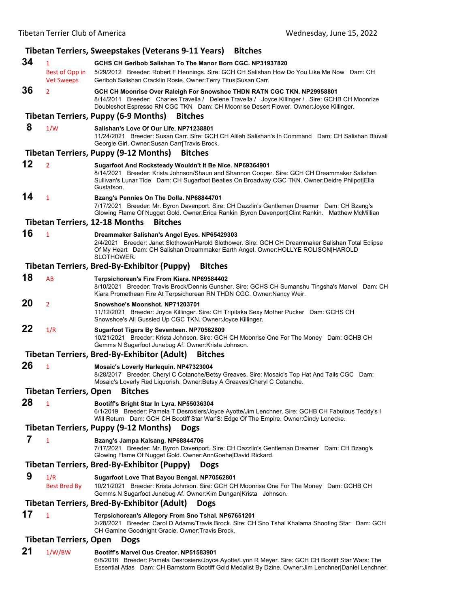|    | וואכנסוו וכוווכו כועט טו אוווכוונס                  | wednesday, June 19, 2022                                                                                                                                                                                                                                                 |
|----|-----------------------------------------------------|--------------------------------------------------------------------------------------------------------------------------------------------------------------------------------------------------------------------------------------------------------------------------|
|    |                                                     | Tibetan Terriers, Sweepstakes (Veterans 9-11 Years)<br><b>Bitches</b>                                                                                                                                                                                                    |
| 34 | $\mathbf{1}$<br>Best of Opp in<br><b>Vet Sweeps</b> | GCHS CH Geribob Salishan To The Manor Born CGC, NP31937820<br>5/29/2012 Breeder: Robert F Hennings. Sire: GCH CH Salishan How Do You Like Me Now Dam: CH<br>Geribob Salishan Cracklin Rosie. Owner:Terry Titus Susan Carr.                                               |
| 36 | $\overline{2}$                                      | GCH CH Moonrise Over Raleigh For Snowshoe THDN RATN CGC TKN. NP29958801<br>8/14/2011 Breeder: Charles Travella / Delene Travella / Joyce Killinger / . Sire: GCHB CH Moonrize<br>Doubleshot Espresso RN CGC TKN Dam: CH Moonrise Desert Flower. Owner: Joyce Killinger.  |
|    |                                                     | <b>Tibetan Terriers, Puppy (6-9 Months)</b><br><b>Bitches</b>                                                                                                                                                                                                            |
| 8  | 1/W                                                 | Salishan's Love Of Our Life, NP71238801<br>11/24/2021 Breeder: Susan Carr. Sire: GCH CH Alilah Salishan's In Command Dam: CH Salishan Bluvali<br>Georgie Girl. Owner: Susan Carr Travis Brock.                                                                           |
|    |                                                     | Tibetan Terriers, Puppy (9-12 Months)<br><b>Bitches</b>                                                                                                                                                                                                                  |
| 12 | $\overline{2}$                                      | Sugarfoot And Rocksteady Wouldn't It Be Nice. NP69364901<br>8/14/2021 Breeder: Krista Johnson/Shaun and Shannon Cooper. Sire: GCH CH Dreammaker Salishan<br>Sullivan's Lunar Tide Dam: CH Sugarfoot Beatles On Broadway CGC TKN. Owner:Deidre Philpot Ella<br>Gustafson. |
| 14 | $\mathbf{1}$                                        | Bzang's Pennies On The Dolla. NP68844701<br>7/17/2021 Breeder: Mr. Byron Davenport. Sire: CH Dazzlin's Gentleman Dreamer Dam: CH Bzang's<br>Glowing Flame Of Nugget Gold. Owner: Erica Rankin   Byron Davenport  Clint Rankin. Matthew McMillian                         |
|    |                                                     | <b>Tibetan Terriers, 12-18 Months</b><br><b>Bitches</b>                                                                                                                                                                                                                  |
| 16 | $\mathbf{1}$                                        | Dreammaker Salishan's Angel Eyes. NP65429303<br>2/4/2021 Breeder: Janet Slothower/Harold Slothower. Sire: GCH CH Dreammaker Salishan Total Eclipse<br>Of My Heart Dam: CH Salishan Dreammaker Earth Angel. Owner: HOLLYE ROLISON HAROLD<br>SLOTHOWER.                    |
|    |                                                     | Tibetan Terriers, Bred-By-Exhibitor (Puppy)<br><b>Bitches</b>                                                                                                                                                                                                            |
| 18 | AB                                                  | Terpsichorean's Fire From Kiara. NP69584402<br>8/10/2021 Breeder: Travis Brock/Dennis Gunsher. Sire: GCHS CH Sumanshu Tingsha's Marvel Dam: CH<br>Kiara Promethean Fire At Terpsichorean RN THDN CGC. Owner: Nancy Weir.                                                 |
| 20 | $\overline{2}$                                      | Snowshoe's Moonshot. NP71203701<br>11/12/2021 Breeder: Joyce Killinger. Sire: CH Tripitaka Sexy Mother Pucker Dam: GCHS CH<br>Snowshoe's All Gussied Up CGC TKN. Owner: Joyce Killinger.                                                                                 |
| 22 | 1/R                                                 | Sugarfoot Tigers By Seventeen. NP70562809<br>10/21/2021 Breeder: Krista Johnson. Sire: GCH CH Moonrise One For The Money Dam: GCHB CH<br>Gemms N Sugarfoot Junebug Af. Owner: Krista Johnson.                                                                            |
|    |                                                     | Tibetan Terriers, Bred-By-Exhibitor (Adult)<br><b>Bitches</b>                                                                                                                                                                                                            |
| 26 | $\mathbf{1}$                                        | Mosaic's Loverly Harlequin. NP47323004<br>8/28/2017 Breeder: Cheryl C Cotanche/Betsy Greaves. Sire: Mosaic's Top Hat And Tails CGC Dam:<br>Mosaic's Loverly Red Liquorish. Owner: Betsy A Greaves Cheryl C Cotanche.                                                     |
|    | <b>Tibetan Terriers, Open</b>                       | <b>Bitches</b>                                                                                                                                                                                                                                                           |
| 28 | $\mathbf{1}$                                        | Bootiff's Bright Star In Lyra. NP55036304<br>6/1/2019 Breeder: Pamela T Desrosiers/Joyce Ayotte/Jim Lenchner. Sire: GCHB CH Fabulous Teddy's I<br>Will Return Dam: GCH CH Bootiff Star War'S: Edge Of The Empire. Owner:Cindy Lonecke.                                   |
|    |                                                     | <b>Tibetan Terriers, Puppy (9-12 Months)</b><br><b>Dogs</b>                                                                                                                                                                                                              |
| 7  | $\mathbf{1}$                                        | Bzang's Jampa Kalsang. NP68844706<br>7/17/2021 Breeder: Mr. Byron Davenport. Sire: CH Dazzlin's Gentleman Dreamer Dam: CH Bzang's<br>Glowing Flame Of Nugget Gold. Owner:AnnGoehe David Rickard.                                                                         |
|    |                                                     | <b>Tibetan Terriers, Bred-By-Exhibitor (Puppy)</b><br><b>Dogs</b>                                                                                                                                                                                                        |
| 9  | 1/R<br><b>Best Bred By</b>                          | Sugarfoot Love That Bayou Bengal. NP70562801<br>10/21/2021 Breeder: Krista Johnson. Sire: GCH CH Moonrise One For The Money Dam: GCHB CH<br>Gemms N Sugarfoot Junebug Af. Owner: Kim Dungan Krista Johnson.                                                              |
|    |                                                     | <b>Tibetan Terriers, Bred-By-Exhibitor (Adult)</b><br><b>Dogs</b>                                                                                                                                                                                                        |
| 17 | $\mathbf{1}$                                        | Terpsichorean's Allegory From Sno Tshal. NP67651201                                                                                                                                                                                                                      |
|    |                                                     | 2/28/2021 Breeder: Carol D Adams/Travis Brock. Sire: CH Sno Tshal Khalama Shooting Star Dam: GCH<br>CH Gamine Goodnight Gracie. Owner: Travis Brock.                                                                                                                     |
|    | <b>Tibetan Terriers, Open</b>                       | <b>Dogs</b>                                                                                                                                                                                                                                                              |
| 21 | 1/W/BW                                              | Bootiff's Marvel Ous Creator, NP51583901<br>6/8/2018 Breeder: Pamela Desrosiers/Joyce Ayotte/Lynn R Meyer. Sire: GCH CH Bootiff Star Wars: The<br>Essential Atlas Dam: CH Barnstorm Bootiff Gold Medalist By Dzine. Owner: Jim Lenchner Daniel Lenchner.                 |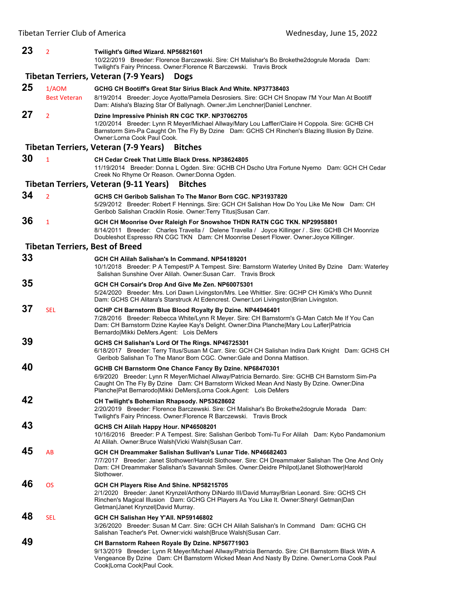## **23** <sup>2</sup> **Twilight's Gifted Wizard. NP56821601** 10/22/2019 Breeder: Florence Barczewski. Sire: CH Malishar's Bo Brokethe2dogrule Morada Dam: Twilight's Fairy Princess. Owner:Florence R Barczewski. Travis Brock **Tibetan Terriers, Veteran (7‐9 Years) Dogs 25** 1/AOM **GCHG CH Bootiff's Great Star Sirius Black And White. NP37738403** Best Veteran 8/19/2014 Breeder: Joyce Ayotte/Pamela Desrosiers. Sire: GCH CH Snopaw I'M Your Man At Bootiff Dam: Atisha's Blazing Star Of Ballynagh. Owner:Jim Lenchner|Daniel Lenchner. **27** <sup>2</sup> **Dzine Impressive Phinish RN CGC TKP. NP37062705** 1/20/2014 Breeder: Lynn R Meyer/Michael Allway/Mary Lou Laffler/Claire H Coppola. Sire: GCHB CH Barnstorm Sim-Pa Caught On The Fly By Dzine Dam: GCHS CH Rinchen's Blazing Illusion By Dzine. Owner:Lorna Cook Paul Cook. **Tibetan Terriers, Veteran (7‐9 Years) Bitches 30** <sup>1</sup> **CH Cedar Creek That Little Black Dress. NP38624805** 11/19/2014 Breeder: Donna L Ogden. Sire: GCHB CH Dscho Utra Fortune Nyemo Dam: GCH CH Cedar Creek No Rhyme Or Reason. Owner:Donna Ogden. **Tibetan Terriers, Veteran (9‐11 Years) Bitches 34** <sup>2</sup> **GCHS CH Geribob Salishan To The Manor Born CGC. NP31937820** 5/29/2012 Breeder: Robert F Hennings. Sire: GCH CH Salishan How Do You Like Me Now Dam: CH Geribob Salishan Cracklin Rosie. Owner:Terry Titus|Susan Carr. **36** <sup>1</sup> **GCH CH Moonrise Over Raleigh For Snowshoe THDN RATN CGC TKN. NP29958801** 8/14/2011 Breeder: Charles Travella / Delene Travella / Joyce Killinger / . Sire: GCHB CH Moonrize Doubleshot Espresso RN CGC TKN Dam: CH Moonrise Desert Flower. Owner:Joyce Killinger. **Tibetan Terriers, Best of Breed 33 GCH CH Alilah Salishan's In Command. NP54189201** 10/1/2018 Breeder: P A Tempest/P A Tempest. Sire: Barnstorm Waterley United By Dzine Dam: Waterley Salishan Sunshine Over Alilah. Owner:Susan Carr. Travis Brock **35 GCH CH Corsair's Drop And Give Me Zen. NP60075301** 5/24/2020 Breeder: Mrs. Lori Dawn Livingston/Mrs. Lee Whittier. Sire: GCHP CH Kimik's Who Dunnit Dam: GCHS CH Alitara's Starstruck At Edencrest. Owner:Lori Livingston|Brian Livingston. **37** SEL **GCHP CH Barnstorm Blue Blood Royalty By Dzine. NP44946401** 7/28/2016 Breeder: Rebecca White/Lynn R Meyer. Sire: CH Barnstorm's G-Man Catch Me If You Can Dam: CH Barnstorm Dzine Kaylee Kay's Delight. Owner:Dina Planche|Mary Lou Lafler|Patricia Bernardo|Mikki DeMers.Agent: Lois DeMers **39 GCHS CH Salishan's Lord Of The Rings. NP46725301** 6/18/2017 Breeder: Terry Titus/Susan M Carr. Sire: GCH CH Salishan Indira Dark Knight Dam: GCHS CH Geribob Salishan To The Manor Born CGC. Owner:Gale and Donna Mattison. **40 GCHB CH Barnstorm One Chance Fancy By Dzine. NP68470301** 6/9/2020 Breeder: Lynn R Meyer/Michael Allway/Patricia Bernardo. Sire: GCHB CH Barnstorm Sim-Pa Caught On The Fly By Dzine Dam: CH Barnstorm Wicked Mean And Nasty By Dzine. Owner:Dina Planche|Pat Bernarodo|Mikki DeMers|Lorna Cook.Agent: Lois DeMers **42 CH Twilight's Bohemian Rhapsody. NP53628602** 2/20/2019 Breeder: Florence Barczewski. Sire: CH Malishar's Bo Brokethe2dogrule Morada Dam: Twilight's Fairy Princess. Owner:Florence R Barczewski. Travis Brock **43 GCHS CH Alilah Happy Hour. NP46508201** 10/16/2016 Breeder: P A Tempest. Sire: Salishan Geribob Tomi-Tu For Alilah Dam: Kybo Pandamonium At Alilah. Owner:Bruce Walsh|Vicki Walsh|Susan Carr. **45** AB **GCH CH Dreammaker Salishan Sullivan's Lunar Tide. NP46682403** 7/7/2017 Breeder: Janet Slothower/Harold Slothower. Sire: CH Dreammaker Salishan The One And Only Dam: CH Dreammaker Salishan's Savannah Smiles. Owner:Deidre Philpot|Janet Slothower|Harold Slothower. **46** OS **GCH CH Players Rise And Shine. NP58215705** 2/1/2020 Breeder: Janet Krynzel/Anthony DiNardo III/David Murray/Brian Leonard. Sire: GCHS CH Rinchen's Magical Illusion Dam: GCHG CH Players As You Like It. Owner:Sheryl Getman|Dan Getman|Janet Krynzel|David Murray. **48** SEL **GCH CH Salishan Hey Y'All. NP59146802** 3/26/2020 Breeder: Susan M Carr. Sire: GCH CH Alilah Salishan's In Command Dam: GCHG CH Salishan Teacher's Pet. Owner:vicki walsh|Bruce Walsh|Susan Carr. **49 CH Barnstorm Raheen Royale By Dzine. NP56771903**

9/13/2019 Breeder: Lynn R Meyer/Michael Allway/Patricia Bernardo. Sire: CH Barnstorm Black With A Vengeance By Dzine Dam: CH Barnstorm Wicked Mean And Nasty By Dzine. Owner:Lorna Cook Paul Cook|Lorna Cook|Paul Cook.